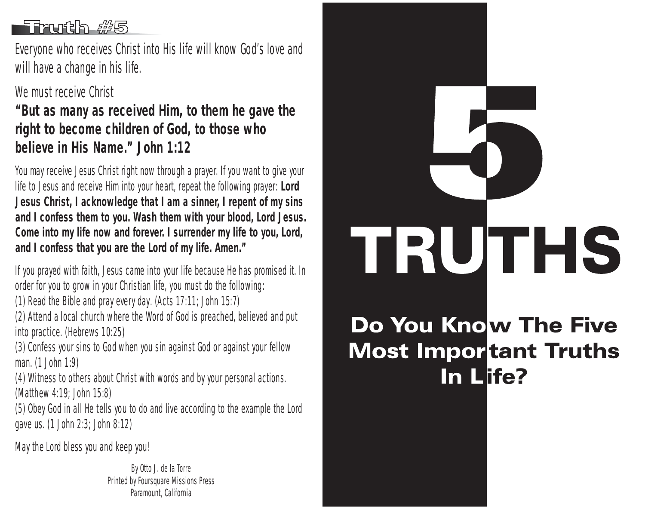### -Truth #5

Everyone who receives Christ into His life will know God's love and will have a change in his life.

#### We must receive Christ

**"But as many as received Him, to them he gave the right to become children of God, to those who believe in His Name." John 1:12**

You may receive Jesus Christ right now through a prayer. If you want to give your life to Jesus and receive Him into your heart, repeat the following prayer: **Lord Jesus Christ, I acknowledge that I am a sinner, I repent of my sins and I confess them to you. Wash them with your blood, Lord Jesus. Come into my life now and forever. I surrender my life to you, Lord, and I confess that you are the Lord of my life. Amen."**

If you prayed with faith, Jesus came into your life because He has promised it. In order for you to grow in your Christian life, you must do the following:

(1) Read the Bible and pray every day. (Acts 17:11; John 15:7)

(2) Attend a local church where the Word of God is preached, believed and put into practice. (Hebrews 10:25)

(3) Confess your sins to God when you sin against God or against your fellow man. (1 John 1:9)

(4) Witness to others about Christ with words and by your personal actions. (Matthew 4:19; John 15:8)

(5) Obey God in all He tells you to do and live according to the example the Lord gave us. (1 John 2:3; John 8:12)

May the Lord bless you and keep you!

By Otto J. de la Torre Printed by Foursquare Missions Press Paramount, California



# Do You Know The Five **Most Important Truths** In Life?